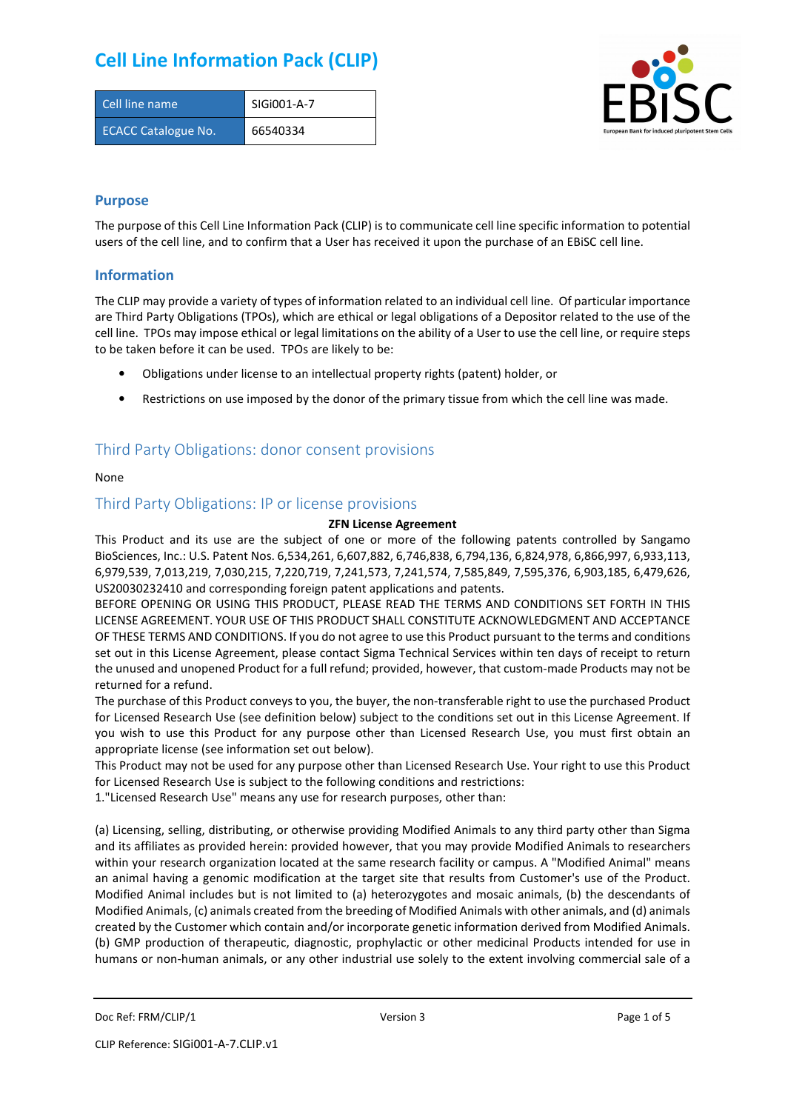| Cell line name             | SIGI001-A-7 |
|----------------------------|-------------|
| <b>ECACC Catalogue No.</b> | 66540334    |



### **Purpose**

The purpose of this Cell Line Information Pack (CLIP) is to communicate cell line specific information to potential users of the cell line, and to confirm that a User has received it upon the purchase of an EBiSC cell line.

### **Information**

The CLIP may provide a variety of types of information related to an individual cell line. Of particular importance are Third Party Obligations (TPOs), which are ethical or legal obligations of a Depositor related to the use of the cell line. TPOs may impose ethical or legal limitations on the ability of a User to use the cell line, or require steps to be taken before it can be used. TPOs are likely to be:

- Obligations under license to an intellectual property rights (patent) holder, or
- Restrictions on use imposed by the donor of the primary tissue from which the cell line was made.

### Third Party Obligations: donor consent provisions

#### None

### Third Party Obligations: IP or license provisions

#### **ZFN License Agreement**

This Product and its use are the subject of one or more of the following patents controlled by Sangamo BioSciences, Inc.: U.S. Patent Nos. 6,534,261, 6,607,882, 6,746,838, 6,794,136, 6,824,978, 6,866,997, 6,933,113, 6,979,539, 7,013,219, 7,030,215, 7,220,719, 7,241,573, 7,241,574, 7,585,849, 7,595,376, 6,903,185, 6,479,626, US20030232410 and corresponding foreign patent applications and patents.

BEFORE OPENING OR USING THIS PRODUCT, PLEASE READ THE TERMS AND CONDITIONS SET FORTH IN THIS LICENSE AGREEMENT. YOUR USE OF THIS PRODUCT SHALL CONSTITUTE ACKNOWLEDGMENT AND ACCEPTANCE OF THESE TERMS AND CONDITIONS. If you do not agree to use this Product pursuant to the terms and conditions set out in this License Agreement, please contact Sigma Technical Services within ten days of receipt to return the unused and unopened Product for a full refund; provided, however, that custom-made Products may not be returned for a refund.

The purchase of this Product conveys to you, the buyer, the non-transferable right to use the purchased Product for Licensed Research Use (see definition below) subject to the conditions set out in this License Agreement. If you wish to use this Product for any purpose other than Licensed Research Use, you must first obtain an appropriate license (see information set out below).

This Product may not be used for any purpose other than Licensed Research Use. Your right to use this Product for Licensed Research Use is subject to the following conditions and restrictions:

1."Licensed Research Use" means any use for research purposes, other than:

(a) Licensing, selling, distributing, or otherwise providing Modified Animals to any third party other than Sigma and its affiliates as provided herein: provided however, that you may provide Modified Animals to researchers within your research organization located at the same research facility or campus. A "Modified Animal" means an animal having a genomic modification at the target site that results from Customer's use of the Product. Modified Animal includes but is not limited to (a) heterozygotes and mosaic animals, (b) the descendants of Modified Animals, (c) animals created from the breeding of Modified Animals with other animals, and (d) animals created by the Customer which contain and/or incorporate genetic information derived from Modified Animals. (b) GMP production of therapeutic, diagnostic, prophylactic or other medicinal Products intended for use in humans or non-human animals, or any other industrial use solely to the extent involving commercial sale of a

Doc Ref: FRM/CLIP/1 **Docessity** Version 3 **Page 1 of 5** Page 1 of 5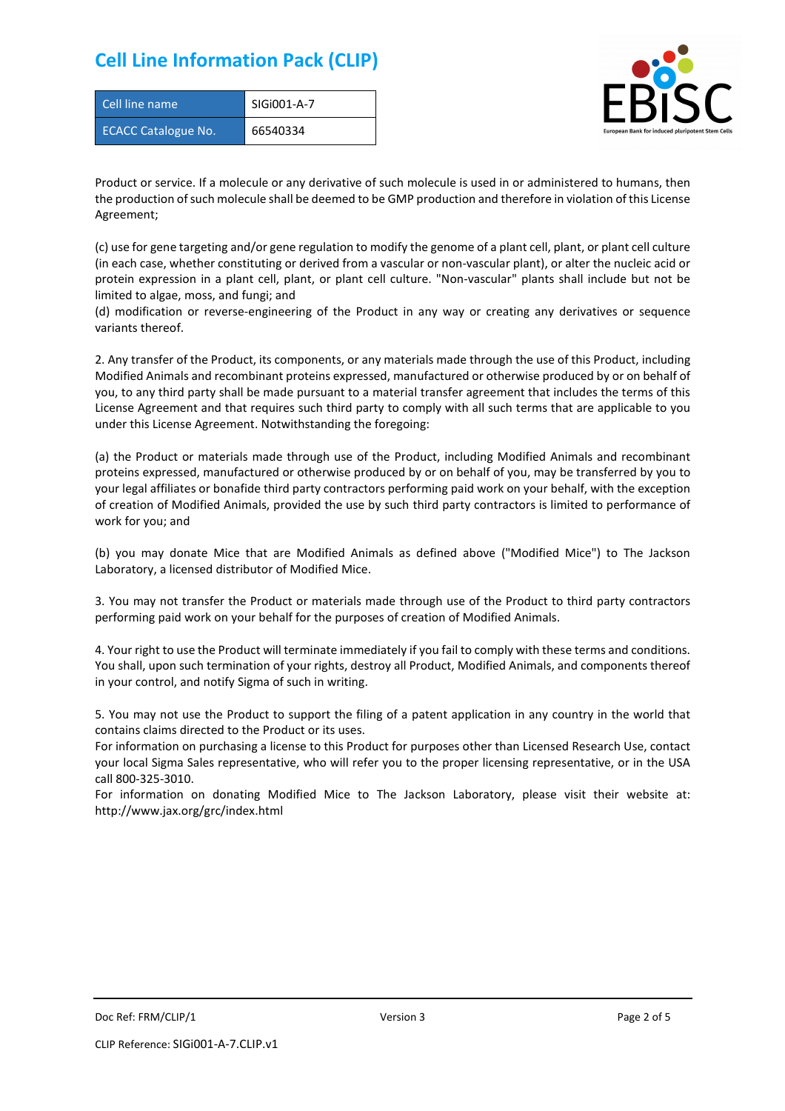| Cell line name             | SIGI001-A-7 |
|----------------------------|-------------|
| <b>ECACC Catalogue No.</b> | 66540334    |



Product or service. If a molecule or any derivative of such molecule is used in or administered to humans, then the production of such molecule shall be deemed to be GMP production and therefore in violation of this License Agreement;

(c) use for gene targeting and/or gene regulation to modify the genome of a plant cell, plant, or plant cell culture (in each case, whether constituting or derived from a vascular or non-vascular plant), or alter the nucleic acid or protein expression in a plant cell, plant, or plant cell culture. "Non-vascular" plants shall include but not be limited to algae, moss, and fungi; and

(d) modification or reverse-engineering of the Product in any way or creating any derivatives or sequence variants thereof.

2. Any transfer of the Product, its components, or any materials made through the use of this Product, including Modified Animals and recombinant proteins expressed, manufactured or otherwise produced by or on behalf of you, to any third party shall be made pursuant to a material transfer agreement that includes the terms of this License Agreement and that requires such third party to comply with all such terms that are applicable to you under this License Agreement. Notwithstanding the foregoing:

(a) the Product or materials made through use of the Product, including Modified Animals and recombinant proteins expressed, manufactured or otherwise produced by or on behalf of you, may be transferred by you to your legal affiliates or bonafide third party contractors performing paid work on your behalf, with the exception of creation of Modified Animals, provided the use by such third party contractors is limited to performance of work for you; and

(b) you may donate Mice that are Modified Animals as defined above ("Modified Mice") to The Jackson Laboratory, a licensed distributor of Modified Mice.

3. You may not transfer the Product or materials made through use of the Product to third party contractors performing paid work on your behalf for the purposes of creation of Modified Animals.

4. Your right to use the Product will terminate immediately if you fail to comply with these terms and conditions. You shall, upon such termination of your rights, destroy all Product, Modified Animals, and components thereof in your control, and notify Sigma of such in writing.

5. You may not use the Product to support the filing of a patent application in any country in the world that contains claims directed to the Product or its uses.

For information on purchasing a license to this Product for purposes other than Licensed Research Use, contact your local Sigma Sales representative, who will refer you to the proper licensing representative, or in the USA call 800-325-3010.

For information on donating Modified Mice to The Jackson Laboratory, please visit their website at: http://www.jax.org/grc/index.html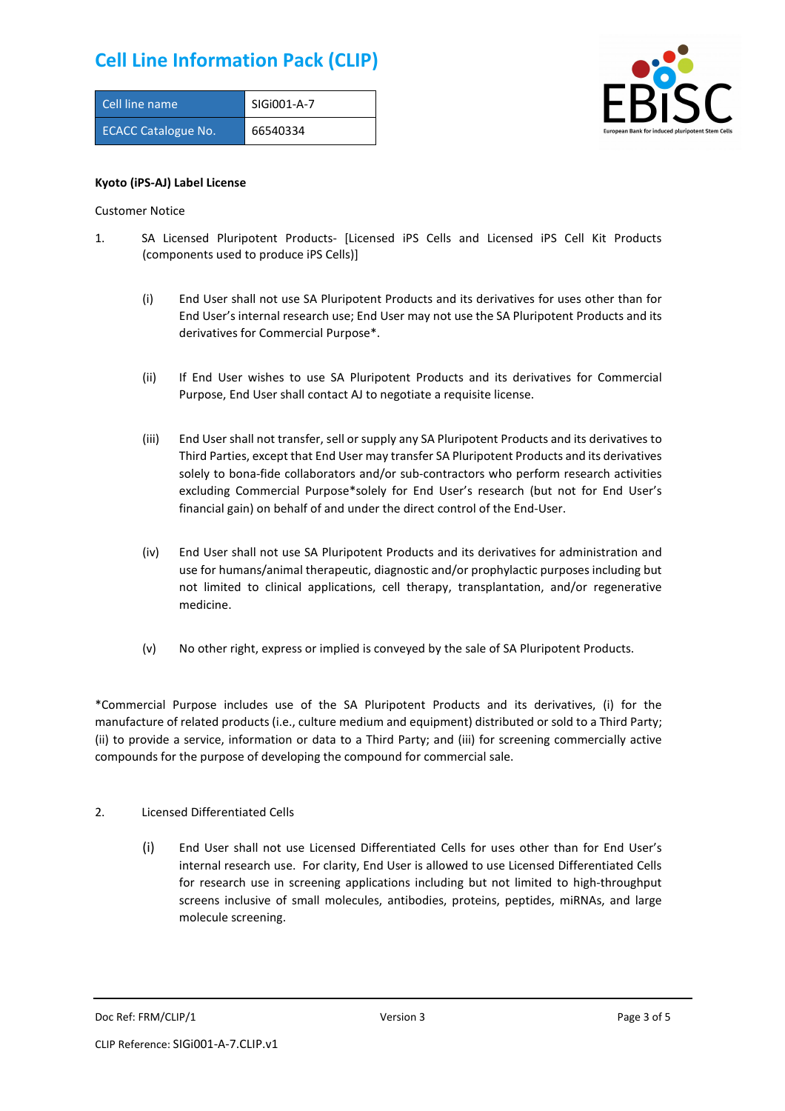| Cell line name             | SIGi001-A-7 |
|----------------------------|-------------|
| <b>ECACC Catalogue No.</b> | 66540334    |



#### **Kyoto (iPS-AJ) Label License**

Customer Notice

- 1. SA Licensed Pluripotent Products- [Licensed iPS Cells and Licensed iPS Cell Kit Products (components used to produce iPS Cells)]
	- (i) End User shall not use SA Pluripotent Products and its derivatives for uses other than for End User's internal research use; End User may not use the SA Pluripotent Products and its derivatives for Commercial Purpose\*.
	- (ii) If End User wishes to use SA Pluripotent Products and its derivatives for Commercial Purpose, End User shall contact AJ to negotiate a requisite license.
	- (iii) End User shall not transfer, sell or supply any SA Pluripotent Products and its derivatives to Third Parties, except that End User may transfer SA Pluripotent Products and its derivatives solely to bona-fide collaborators and/or sub-contractors who perform research activities excluding Commercial Purpose\*solely for End User's research (but not for End User's financial gain) on behalf of and under the direct control of the End-User.
	- (iv) End User shall not use SA Pluripotent Products and its derivatives for administration and use for humans/animal therapeutic, diagnostic and/or prophylactic purposes including but not limited to clinical applications, cell therapy, transplantation, and/or regenerative medicine.
	- (v) No other right, express or implied is conveyed by the sale of SA Pluripotent Products.

\*Commercial Purpose includes use of the SA Pluripotent Products and its derivatives, (i) for the manufacture of related products (i.e., culture medium and equipment) distributed or sold to a Third Party; (ii) to provide a service, information or data to a Third Party; and (iii) for screening commercially active compounds for the purpose of developing the compound for commercial sale.

#### 2. Licensed Differentiated Cells

(i) End User shall not use Licensed Differentiated Cells for uses other than for End User's internal research use. For clarity, End User is allowed to use Licensed Differentiated Cells for research use in screening applications including but not limited to high-throughput screens inclusive of small molecules, antibodies, proteins, peptides, miRNAs, and large molecule screening.

Doc Ref: FRM/CLIP/1 Version 3 Page 3 of 5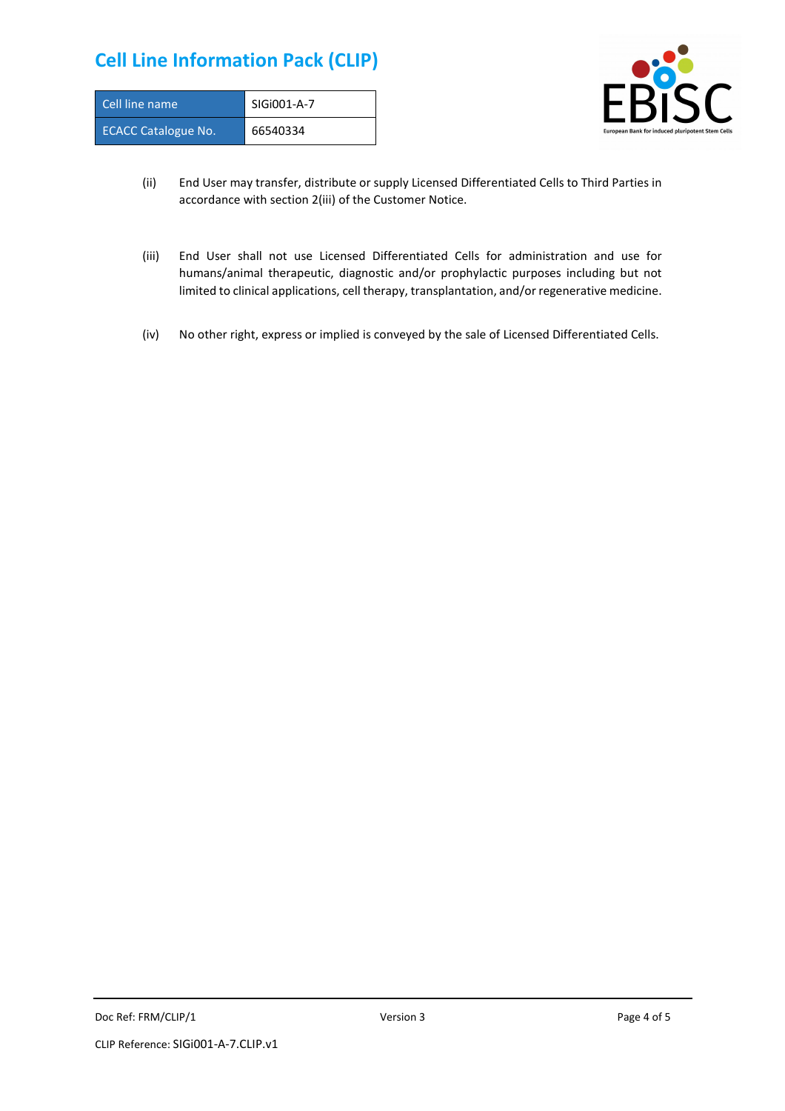| Cell line name             | SIGI001-A-7 |
|----------------------------|-------------|
| <b>ECACC Catalogue No.</b> | 66540334    |



- (ii) End User may transfer, distribute or supply Licensed Differentiated Cells to Third Parties in accordance with section 2(iii) of the Customer Notice.
- (iii) End User shall not use Licensed Differentiated Cells for administration and use for humans/animal therapeutic, diagnostic and/or prophylactic purposes including but not limited to clinical applications, cell therapy, transplantation, and/or regenerative medicine.
- (iv) No other right, express or implied is conveyed by the sale of Licensed Differentiated Cells.